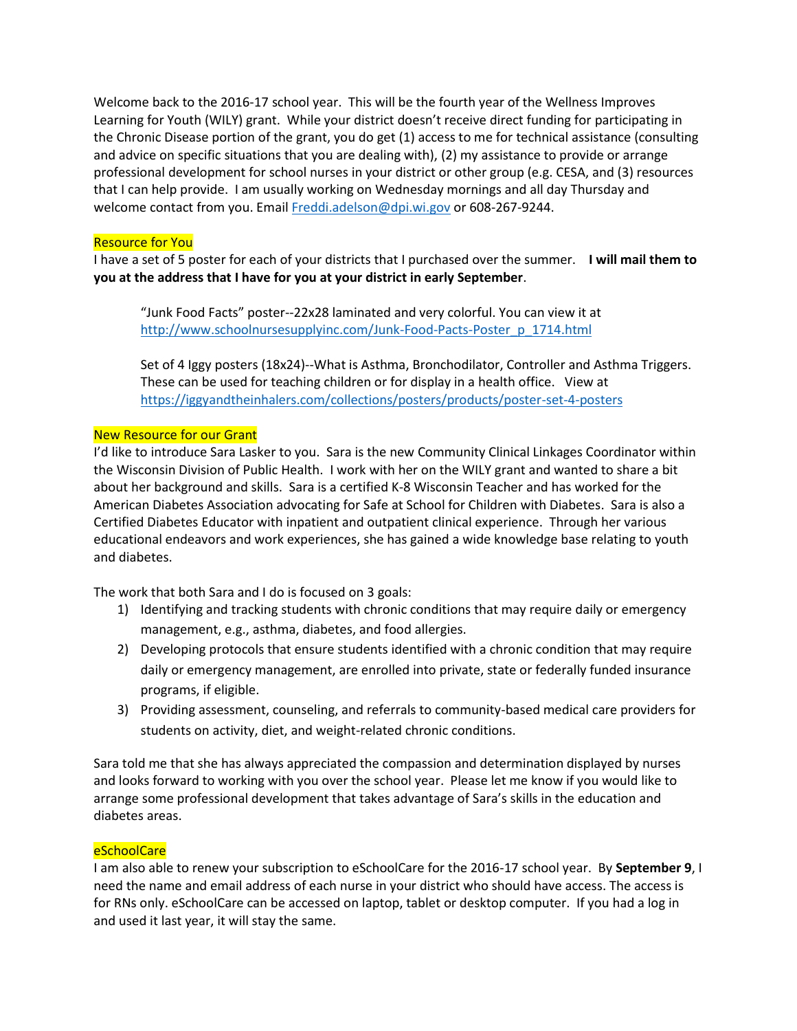Welcome back to the 2016-17 school year. This will be the fourth year of the Wellness Improves Learning for Youth (WILY) grant. While your district doesn't receive direct funding for participating in the Chronic Disease portion of the grant, you do get (1) access to me for technical assistance (consulting and advice on specific situations that you are dealing with), (2) my assistance to provide or arrange professional development for school nurses in your district or other group (e.g. CESA, and (3) resources that I can help provide. I am usually working on Wednesday mornings and all day Thursday and welcome contact from you. Email [Freddi.adelson@dpi.wi.gov](mailto:Freddi.adelson@dpi.wi.gov) or 608-267-9244.

## Resource for You

I have a set of 5 poster for each of your districts that I purchased over the summer. **I will mail them to you at the address that I have for you at your district in early September**.

"Junk Food Facts" poster--22x28 laminated and very colorful. You can view it at [http://www.schoolnursesupplyinc.com/Junk-Food-Pacts-Poster\\_p\\_1714.html](http://www.schoolnursesupplyinc.com/Junk-Food-Pacts-Poster_p_1714.html)

Set of 4 Iggy posters (18x24)--What is Asthma, Bronchodilator, Controller and Asthma Triggers. These can be used for teaching children or for display in a health office. View at <https://iggyandtheinhalers.com/collections/posters/products/poster-set-4-posters>

# New Resource for our Grant

I'd like to introduce Sara Lasker to you. Sara is the new Community Clinical Linkages Coordinator within the Wisconsin Division of Public Health. I work with her on the WILY grant and wanted to share a bit about her background and skills. Sara is a certified K-8 Wisconsin Teacher and has worked for the American Diabetes Association advocating for Safe at School for Children with Diabetes. Sara is also a Certified Diabetes Educator with inpatient and outpatient clinical experience. Through her various educational endeavors and work experiences, she has gained a wide knowledge base relating to youth and diabetes.

The work that both Sara and I do is focused on 3 goals:

- 1) Identifying and tracking students with chronic conditions that may require daily or emergency management, e.g., asthma, diabetes, and food allergies.
- 2) Developing protocols that ensure students identified with a chronic condition that may require daily or emergency management, are enrolled into private, state or federally funded insurance programs, if eligible.
- 3) Providing assessment, counseling, and referrals to community-based medical care providers for students on activity, diet, and weight-related chronic conditions.

Sara told me that she has always appreciated the compassion and determination displayed by nurses and looks forward to working with you over the school year. Please let me know if you would like to arrange some professional development that takes advantage of Sara's skills in the education and diabetes areas.

### **eSchoolCare**

I am also able to renew your subscription to eSchoolCare for the 2016-17 school year. By **September 9**, I need the name and email address of each nurse in your district who should have access. The access is for RNs only. eSchoolCare can be accessed on laptop, tablet or desktop computer. If you had a log in and used it last year, it will stay the same.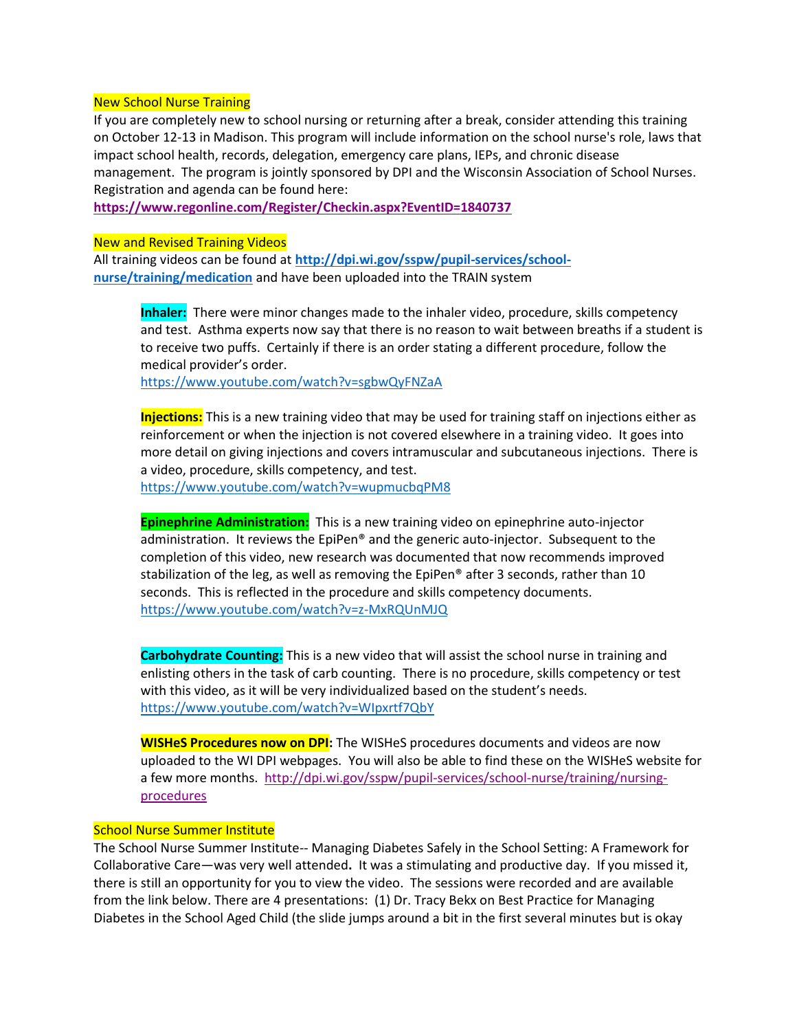#### New School Nurse Training

If you are completely new to school nursing or returning after a break, consider attending this training on October 12-13 in Madison. This program will include information on the school nurse's role, laws that impact school health, records, delegation, emergency care plans, IEPs, and chronic disease management. The program is jointly sponsored by DPI and the Wisconsin Association of School Nurses. Registration and agenda can be found here:

**<https://www.regonline.com/Register/Checkin.aspx?EventID=1840737>**

#### New and Revised Training Videos

All training videos can be found at **[http://dpi.wi.gov/sspw/pupil-services/school](http://dpi.wi.gov/sspw/pupil-services/school-nurse/training/medication)[nurse/training/medication](http://dpi.wi.gov/sspw/pupil-services/school-nurse/training/medication)** and have been uploaded into the TRAIN system

**Inhaler:** There were minor changes made to the inhaler video, procedure, skills competency and test. Asthma experts now say that there is no reason to wait between breaths if a student is to receive two puffs. Certainly if there is an order stating a different procedure, follow the medical provider's order.

<https://www.youtube.com/watch?v=sgbwQyFNZaA>

**Injections:** This is a new training video that may be used for training staff on injections either as reinforcement or when the injection is not covered elsewhere in a training video. It goes into more detail on giving injections and covers intramuscular and subcutaneous injections. There is a video, procedure, skills competency, and test.

<https://www.youtube.com/watch?v=wupmucbqPM8>

**Epinephrine Administration:** This is a new training video on epinephrine auto-injector administration. It reviews the EpiPen® and the generic auto-injector. Subsequent to the completion of this video, new research was documented that now recommends improved stabilization of the leg, as well as removing the EpiPen® after 3 seconds, rather than 10 seconds. This is reflected in the procedure and skills competency documents. <https://www.youtube.com/watch?v=z-MxRQUnMJQ>

**Carbohydrate Counting:** This is a new video that will assist the school nurse in training and enlisting others in the task of carb counting. There is no procedure, skills competency or test with this video, as it will be very individualized based on the student's needs. <https://www.youtube.com/watch?v=WIpxrtf7QbY>

**WISHeS Procedures now on DPI:** The WISHeS procedures documents and videos are now uploaded to the WI DPI webpages. You will also be able to find these on the WISHeS website for a few more months. [http://dpi.wi.gov/sspw/pupil-services/school-nurse/training/nursing](http://dpi.wi.gov/sspw/pupil-services/school-nurse/training/nursing-procedures)[procedures](http://dpi.wi.gov/sspw/pupil-services/school-nurse/training/nursing-procedures)

# School Nurse Summer Institute

The School Nurse Summer Institute-- Managing Diabetes Safely in the School Setting: A Framework for Collaborative Care—was very well attended**.** It was a stimulating and productive day. If you missed it, there is still an opportunity for you to view the video. The sessions were recorded and are available from the link below. There are 4 presentations: (1) Dr. Tracy Bekx on Best Practice for Managing Diabetes in the School Aged Child (the slide jumps around a bit in the first several minutes but is okay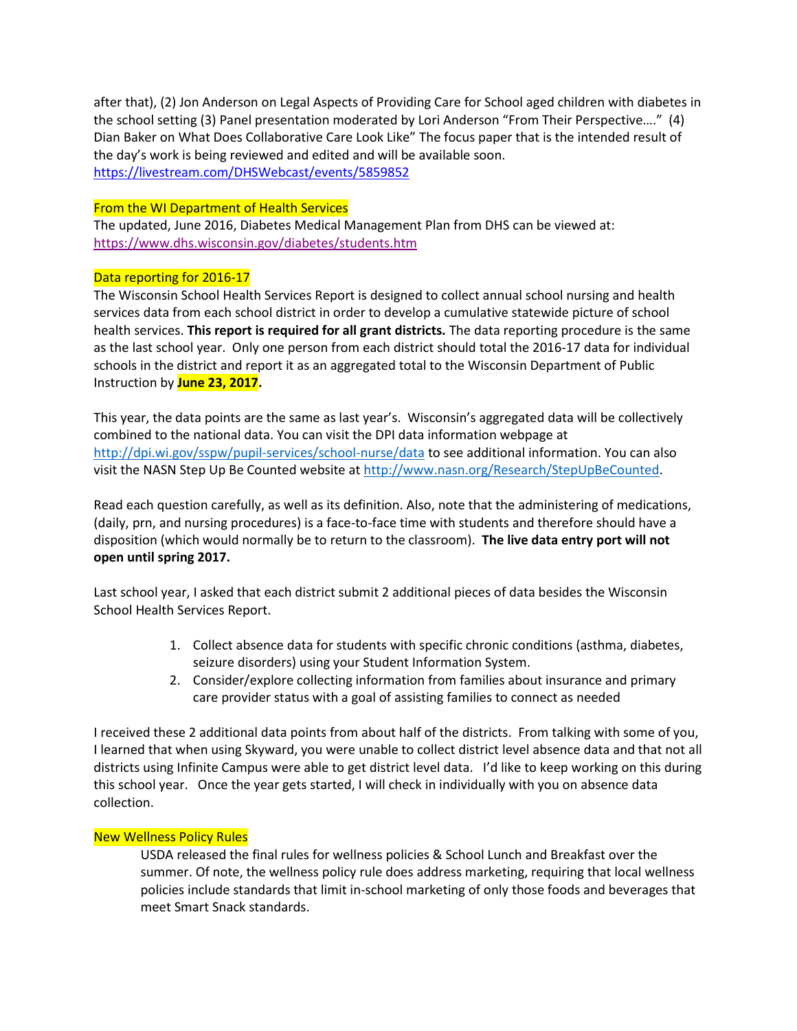after that), (2) Jon Anderson on Legal Aspects of Providing Care for School aged children with diabetes in the school setting (3) Panel presentation moderated by Lori Anderson "From Their Perspective…." (4) Dian Baker on What Does Collaborative Care Look Like" The focus paper that is the intended result of the day's work is being reviewed and edited and will be available soon. <https://livestream.com/DHSWebcast/events/5859852>

### From the WI Department of Health Services

The updated, June 2016, Diabetes Medical Management Plan from DHS can be viewed at: <https://www.dhs.wisconsin.gov/diabetes/students.htm>

### Data reporting for 2016-17

The Wisconsin School Health Services Report is designed to collect annual school nursing and health services data from each school district in order to develop a cumulative statewide picture of school health services. **This report is required for all grant districts.** The data reporting procedure is the same as the last school year. Only one person from each district should total the 2016-17 data for individual schools in the district and report it as an aggregated total to the Wisconsin Department of Public Instruction by **June 23, 2017.**

This year, the data points are the same as last year's. Wisconsin's aggregated data will be collectively combined to the national data. You can visit the DPI data information webpage at <http://dpi.wi.gov/sspw/pupil-services/school-nurse/data> to see additional information. You can also visit the NASN Step Up Be Counted website a[t http://www.nasn.org/Research/StepUpBeCounted.](http://www.nasn.org/Research/StepUpBeCounted)

Read each question carefully, as well as its definition. Also, note that the administering of medications, (daily, prn, and nursing procedures) is a face-to-face time with students and therefore should have a disposition (which would normally be to return to the classroom). **The live data entry port will not open until spring 2017.** 

Last school year, I asked that each district submit 2 additional pieces of data besides the Wisconsin School Health Services Report.

- 1. Collect absence data for students with specific chronic conditions (asthma, diabetes, seizure disorders) using your Student Information System.
- 2. Consider/explore collecting information from families about insurance and primary care provider status with a goal of assisting families to connect as needed

I received these 2 additional data points from about half of the districts. From talking with some of you, I learned that when using Skyward, you were unable to collect district level absence data and that not all districts using Infinite Campus were able to get district level data. I'd like to keep working on this during this school year. Once the year gets started, I will check in individually with you on absence data collection.

### New Wellness Policy Rules

USDA released the final rules for wellness policies & School Lunch and Breakfast over the summer. Of note, the wellness policy rule does address marketing, requiring that local wellness policies include standards that limit in-school marketing of only those foods and beverages that meet Smart Snack standards.